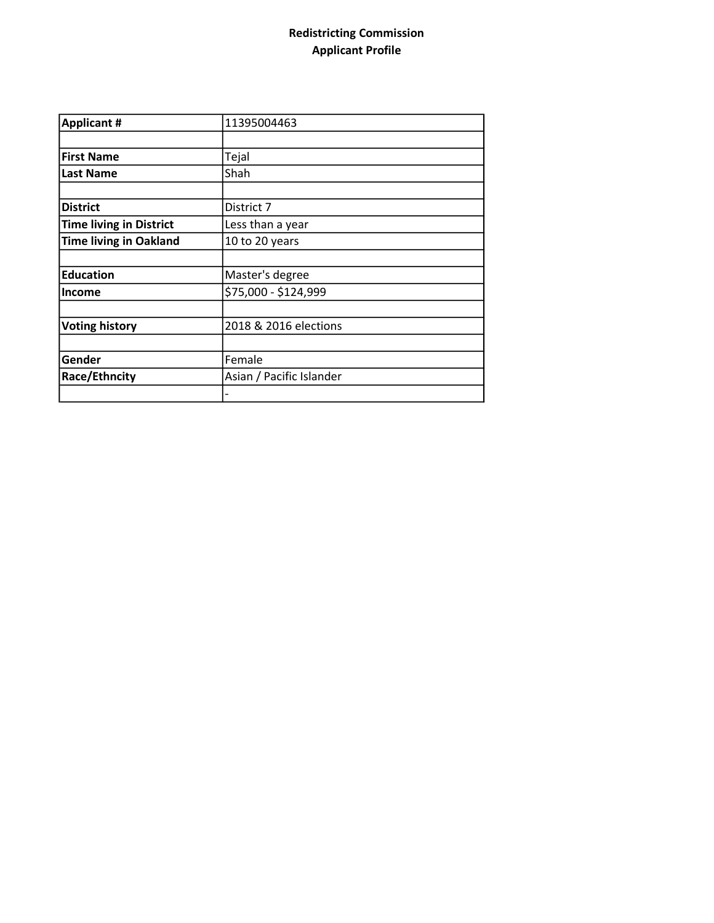## Redistricting Commission Applicant Profile

| <b>Applicant #</b>             | 11395004463              |  |
|--------------------------------|--------------------------|--|
|                                |                          |  |
| <b>First Name</b>              | Tejal                    |  |
| <b>Last Name</b>               | Shah                     |  |
|                                |                          |  |
| <b>District</b>                | District 7               |  |
| <b>Time living in District</b> | Less than a year         |  |
| <b>Time living in Oakland</b>  | 10 to 20 years           |  |
|                                |                          |  |
| <b>Education</b>               | Master's degree          |  |
| <b>Income</b>                  | \$75,000 - \$124,999     |  |
|                                |                          |  |
| <b>Voting history</b>          | 2018 & 2016 elections    |  |
|                                |                          |  |
| Gender                         | Female                   |  |
| Race/Ethncity                  | Asian / Pacific Islander |  |
|                                |                          |  |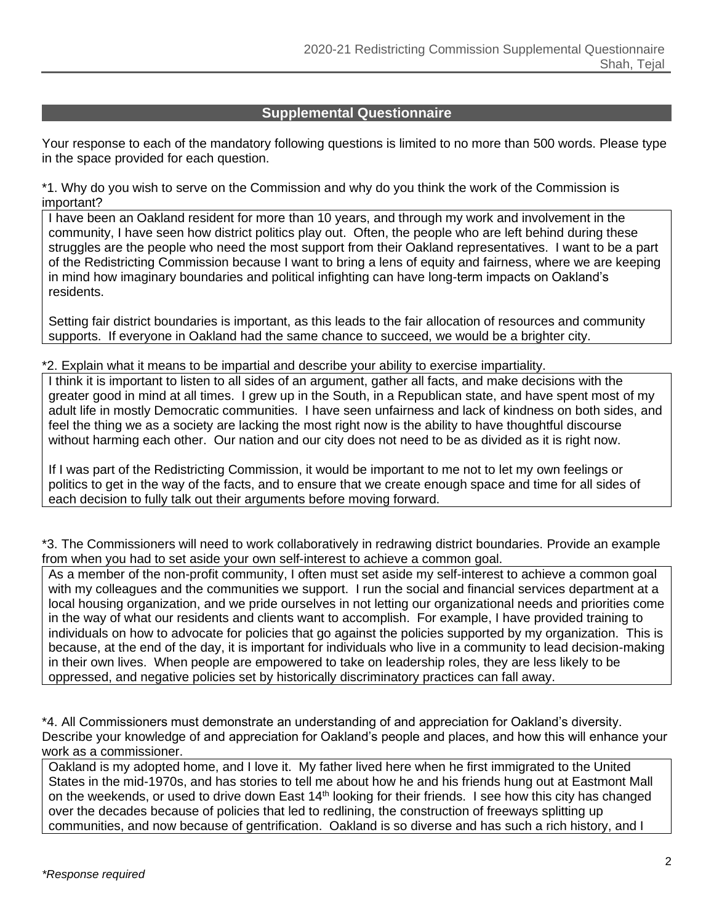## **Supplemental Questionnaire**

Your response to each of the mandatory following questions is limited to no more than 500 words. Please type in the space provided for each question.

\*1. Why do you wish to serve on the Commission and why do you think the work of the Commission is important?

I have been an Oakland resident for more than 10 years, and through my work and involvement in the community, I have seen how district politics play out. Often, the people who are left behind during these struggles are the people who need the most support from their Oakland representatives. I want to be a part of the Redistricting Commission because I want to bring a lens of equity and fairness, where we are keeping in mind how imaginary boundaries and political infighting can have long-term impacts on Oakland's residents.

Setting fair district boundaries is important, as this leads to the fair allocation of resources and community supports. If everyone in Oakland had the same chance to succeed, we would be a brighter city.

## \*2. Explain what it means to be impartial and describe your ability to exercise impartiality.

I think it is important to listen to all sides of an argument, gather all facts, and make decisions with the greater good in mind at all times. I grew up in the South, in a Republican state, and have spent most of my adult life in mostly Democratic communities. I have seen unfairness and lack of kindness on both sides, and feel the thing we as a society are lacking the most right now is the ability to have thoughtful discourse without harming each other. Our nation and our city does not need to be as divided as it is right now.

If I was part of the Redistricting Commission, it would be important to me not to let my own feelings or politics to get in the way of the facts, and to ensure that we create enough space and time for all sides of each decision to fully talk out their arguments before moving forward.

\*3. The Commissioners will need to work collaboratively in redrawing district boundaries. Provide an example from when you had to set aside your own self-interest to achieve a common goal.

As a member of the non-profit community, I often must set aside my self-interest to achieve a common goal with my colleagues and the communities we support. I run the social and financial services department at a local housing organization, and we pride ourselves in not letting our organizational needs and priorities come in the way of what our residents and clients want to accomplish. For example, I have provided training to individuals on how to advocate for policies that go against the policies supported by my organization. This is because, at the end of the day, it is important for individuals who live in a community to lead decision-making in their own lives. When people are empowered to take on leadership roles, they are less likely to be oppressed, and negative policies set by historically discriminatory practices can fall away.

\*4. All Commissioners must demonstrate an understanding of and appreciation for Oakland's diversity. Describe your knowledge of and appreciation for Oakland's people and places, and how this will enhance your work as a commissioner.

Oakland is my adopted home, and I love it. My father lived here when he first immigrated to the United States in the mid-1970s, and has stories to tell me about how he and his friends hung out at Eastmont Mall on the weekends, or used to drive down East 14<sup>th</sup> looking for their friends. I see how this city has changed over the decades because of policies that led to redlining, the construction of freeways splitting up communities, and now because of gentrification. Oakland is so diverse and has such a rich history, and I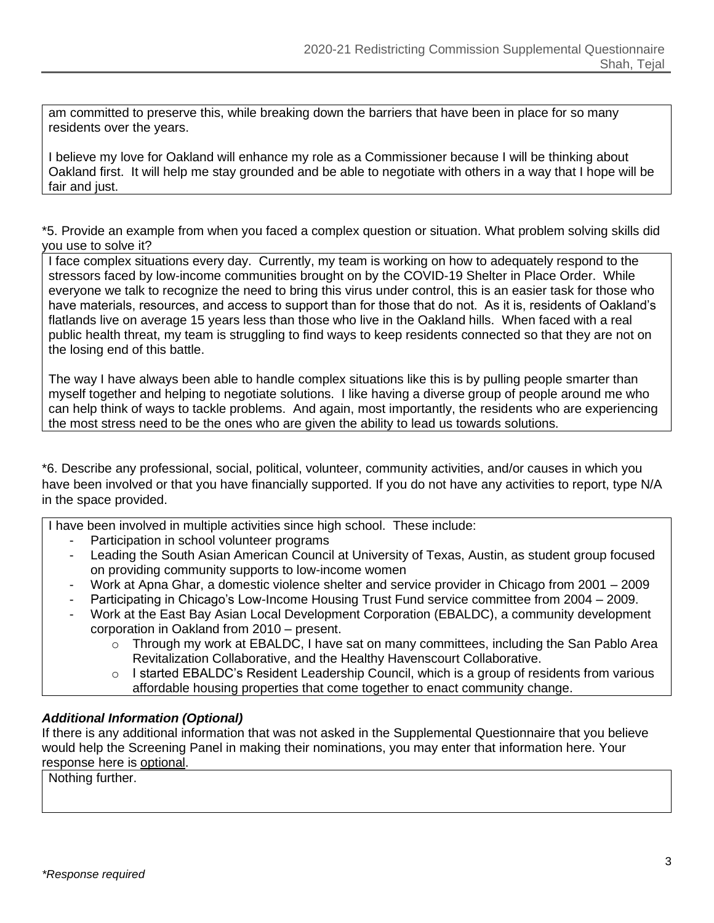am committed to preserve this, while breaking down the barriers that have been in place for so many residents over the years.

I believe my love for Oakland will enhance my role as a Commissioner because I will be thinking about Oakland first. It will help me stay grounded and be able to negotiate with others in a way that I hope will be fair and just.

\*5. Provide an example from when you faced a complex question or situation. What problem solving skills did you use to solve it?

I face complex situations every day. Currently, my team is working on how to adequately respond to the stressors faced by low-income communities brought on by the COVID-19 Shelter in Place Order. While everyone we talk to recognize the need to bring this virus under control, this is an easier task for those who have materials, resources, and access to support than for those that do not. As it is, residents of Oakland's flatlands live on average 15 years less than those who live in the Oakland hills. When faced with a real public health threat, my team is struggling to find ways to keep residents connected so that they are not on the losing end of this battle.

The way I have always been able to handle complex situations like this is by pulling people smarter than myself together and helping to negotiate solutions. I like having a diverse group of people around me who can help think of ways to tackle problems. And again, most importantly, the residents who are experiencing the most stress need to be the ones who are given the ability to lead us towards solutions.

\*6. Describe any professional, social, political, volunteer, community activities, and/or causes in which you have been involved or that you have financially supported. If you do not have any activities to report, type N/A in the space provided.

I have been involved in multiple activities since high school. These include:

- Participation in school volunteer programs
- Leading the South Asian American Council at University of Texas, Austin, as student group focused on providing community supports to low-income women
- Work at Apna Ghar, a domestic violence shelter and service provider in Chicago from 2001 2009
- Participating in Chicago's Low-Income Housing Trust Fund service committee from 2004 2009.
- Work at the East Bay Asian Local Development Corporation (EBALDC), a community development corporation in Oakland from 2010 – present.
	- $\circ$  Through my work at EBALDC, I have sat on many committees, including the San Pablo Area Revitalization Collaborative, and the Healthy Havenscourt Collaborative.
	- o I started EBALDC's Resident Leadership Council, which is a group of residents from various affordable housing properties that come together to enact community change.

## *Additional Information (Optional)*

If there is any additional information that was not asked in the Supplemental Questionnaire that you believe would help the Screening Panel in making their nominations, you may enter that information here. Your response here is optional.

Nothing further.